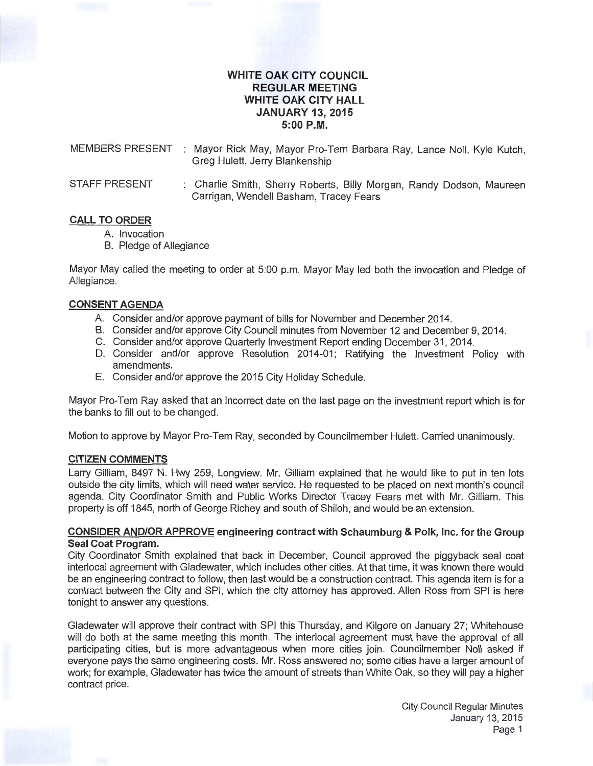# **WHITE OAK CITY COUNCIL REGULAR MEETING WHITE OAK CITY HALL JANUARY 13, 2015 5:00P.M.**

MEMBERS PRESENT : Mayor Rick May, Mayor Pro-Tem Barbara Ray, Lance Noll, Kyle Kutch, Greg Hulett, Jerry Blankenship

STAFF PRESENT : Charlie Smith, Sherry Roberts, Billy Morgan, Randy Dodson, Maureen Carrigan, Wendell Basham, Tracey Fears

# **CALL TO ORDER**

- A. Invocation
- B. Pledge of Allegiance

Mayor May called the meeting to order at 5:00 p.m. Mayor May led both the invocation and Pledge of Allegiance.

#### **CONSENT AGENDA**

- A. Consider and/or approve payment of bills for November and December 2014.
- B. Consider and/or approve City Council minutes from November 12 and December 9, 2014.
- C. Consider and/or approve Quarterly Investment Report ending December 31 , 2014.
- D. Consider and/or approve Resolution 2014-01; Ratifying the Investment Policy with amendments.
- E. Consider and/or approve the 2015 City Holiday Schedule.

Mayor Pro-Tem Ray asked that an incorrect date on the last page on the investment report which is for the banks to fill out to be changed.

Motion to approve by Mayor Pro-Tem Ray, seconded by Councilmember Hulett. Carried unanimously.

#### **CITIZEN COMMENTS**

Larry Gilliam, 8497 N. Hwy 259, Longview. Mr. Gilliam explained that he would like to put in ten lots outside the city limits, which will need water service. He requested to be placed on next month's council agenda. City Coordinator Smith and Public Works Director Tracey Fears met with Mr. Gilliam. This property is off 1845, north of George Richey and south of Shiloh, and would be an extension.

### **CONSIDER AND/OR APPROVE engineering contract with Schaumburg &Polk, Inc. for the Group Seal Coat Program.**

City Coordinator Smith explained that back in December, Council approved the piggyback seal coat interlocal agreement with Gladewater, which includes other cities. At that time, it was known there would be an engineering contract to follow, then last would be a construction contract. This agenda item is for a contract between the City and SPI, which the city attorney has approved. Allen Ross from SPI is here tonight to answer any questions.

Gladewater will approve their contract with SPI this Thursday, and Kilgore on January 27; Whitehouse will do both at the same meeting this month. The interlocal agreement must have the approval of all participating cities, but is more advantageous when more cities join. Councilmember Noll asked if everyone pays the same engineering costs. Mr. Ross answered no; some cities have a larger amount of work; for example, Gladewater has twice the amount of streets than White Oak, so they will pay a higher contract price.

> City Council Regular Minutes January 13, 2015 Page 1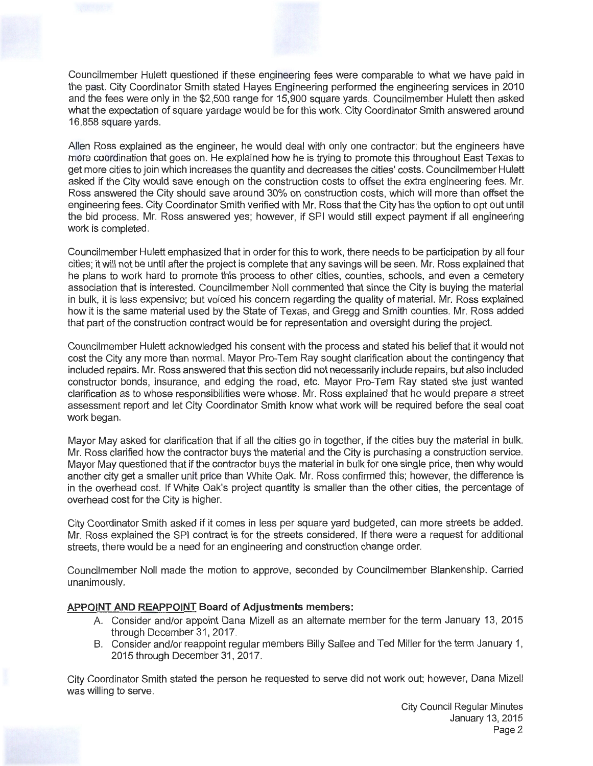Councilmember Hulett questioned if these engineering fees were comparable to what we have paid in the past. City Coordinator Smith stated Hayes Engineering performed the engineering services in 2010 and the fees were only in the \$2,500 range for 15,900 square yards. Councilmember Hulett then asked what the expectation of square yardage would be for this work. City Coordinator Smith answered around 16,858 square yards.

Allen Ross explained as the engineer, he would deal with only one contractor; but the engineers have more coordination that goes on. He explained how he is trying to promote this throughout East Texas to get more cities to join which increases the quantity and decreases the cities' costs. Councilmember Hulett asked if the City would save enough on the construction costs to offset the extra engineering fees. Mr. Ross answered the City should save around 30% on construction costs, which will more than offset the engineering fees. City Coordinator Smith verified with Mr. Ross that the City has the option to opt out until the bid process. Mr. Ross answered yes; however, if SPI would still expect payment if all engineering work is completed.

Councilmember Hulett emphasized that in order for this to work, there needs to be participation by all four cities; it will not be until after the project is complete that any savings will be seen. Mr. Ross explained that he plans to work hard to promote this process to other cities, counties, schools, and even a cemetery association that is interested. Councilmember Noll commented that since the City is buying the material in bulk, it is less expensive; but voiced his concern regarding the quality of material. Mr. Ross explained how it is the same material used by the State of Texas, and Gregg and Smith counties. Mr. Ross added that part of the construction contract would be for representation and oversight during the project.

Councilmember Hulett acknowledged his consent with the process and stated his belief that it would not cost the City any more than normal. Mayor Pro-Tem Ray sought clarification about the contingency that included repairs. Mr. Ross answered that this section did not necessarily include repairs, but also included constructor bonds, insurance, and edging the road, etc. Mayor Pro-Tem Ray stated she just wanted clarification as to whose responsibilities were whose. Mr. Ross explained that he would prepare a street assessment report and let City Coordinator Smith know what work will be required before the seal coat work began.

Mayor May asked for clarification that if all the cities go in together, if the cities buy the material in bulk. Mr. Ross clarified how the contractor buys the material and the City is purchasing a construction service. Mayor May questioned that if the contractor buys the material in bulk for one single price, then why would another city get a smaller unit price than White Oak. Mr. Ross confirmed this; however, the difference is in the overhead cost. If White Oak's project quantity is smaller than the other cities, the percentage of overhead cost for the City is higher.

City Coordinator Smith asked if it comes in less per square yard budgeted, can more streets be added. Mr. Ross explained the SPI contract is for the streets considered . If there were a request for additional streets, there would be a need for an engineering and construction change order.

Councilmember Noll made the motion to approve, seconded by Councilmember Blankenship. Carried unanimously.

# **APPOINT AND REAPPOINT Board of Adjustments members:**

- A. Consider and/or appoint Dana Mizell as an alternate member for the term January 13, 2015 through December 31, 2017.
- B. Consider and/or reappoint regular members Billy Sallee and Ted Miller for the term January 1, 2015 through December 31, 2017.

City Coordinator Smith stated the person he requested to serve did not work out; however, Dana Mizell was willing to serve.